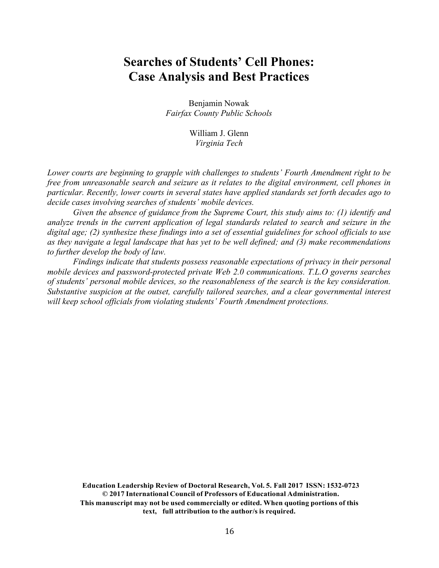# **Searches of Students' Cell Phones: Case Analysis and Best Practices**

Benjamin Nowak *Fairfax County Public Schools*

> William J. Glenn *Virginia Tech*

*Lower courts are beginning to grapple with challenges to students' Fourth Amendment right to be free from unreasonable search and seizure as it relates to the digital environment, cell phones in particular. Recently, lower courts in several states have applied standards set forth decades ago to decide cases involving searches of students' mobile devices.*

*Given the absence of guidance from the Supreme Court, this study aims to: (1) identify and analyze trends in the current application of legal standards related to search and seizure in the digital age; (2) synthesize these findings into a set of essential guidelines for school officials to use as they navigate a legal landscape that has yet to be well defined; and (3) make recommendations to further develop the body of law.*

*Findings indicate that students possess reasonable expectations of privacy in their personal mobile devices and password-protected private Web 2.0 communications. T.L.O governs searches of students' personal mobile devices, so the reasonableness of the search is the key consideration. Substantive suspicion at the outset, carefully tailored searches, and a clear governmental interest will keep school officials from violating students' Fourth Amendment protections.*

**Education Leadership Review of Doctoral Research, Vol. 5. Fall 2017 ISSN: 1532-0723 © 2017 International Council of Professors of Educational Administration. This manuscript may not be used commercially or edited. When quoting portions of this text, full attribution to the author/s is required.**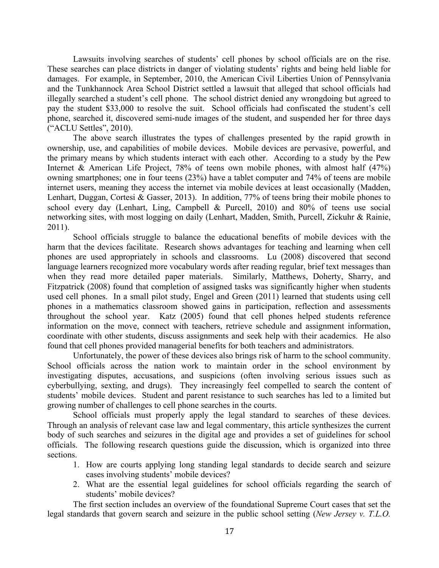Lawsuits involving searches of students' cell phones by school officials are on the rise. These searches can place districts in danger of violating students' rights and being held liable for damages. For example, in September, 2010, the American Civil Liberties Union of Pennsylvania and the Tunkhannock Area School District settled a lawsuit that alleged that school officials had illegally searched a student's cell phone. The school district denied any wrongdoing but agreed to pay the student \$33,000 to resolve the suit. School officials had confiscated the student's cell phone, searched it, discovered semi-nude images of the student, and suspended her for three days ("ACLU Settles", 2010).

The above search illustrates the types of challenges presented by the rapid growth in ownership, use, and capabilities of mobile devices. Mobile devices are pervasive, powerful, and the primary means by which students interact with each other. According to a study by the Pew Internet & American Life Project, 78% of teens own mobile phones, with almost half (47%) owning smartphones; one in four teens (23%) have a tablet computer and 74% of teens are mobile internet users, meaning they access the internet via mobile devices at least occasionally (Madden, Lenhart, Duggan, Cortesi & Gasser, 2013). In addition, 77% of teens bring their mobile phones to school every day (Lenhart, Ling, Campbell & Purcell, 2010) and 80% of teens use social networking sites, with most logging on daily (Lenhart, Madden, Smith, Purcell, Zickuhr & Rainie, 2011).

School officials struggle to balance the educational benefits of mobile devices with the harm that the devices facilitate. Research shows advantages for teaching and learning when cell phones are used appropriately in schools and classrooms. Lu (2008) discovered that second language learners recognized more vocabulary words after reading regular, brief text messages than when they read more detailed paper materials. Similarly, Matthews, Doherty, Sharry, and Fitzpatrick (2008) found that completion of assigned tasks was significantly higher when students used cell phones. In a small pilot study, Engel and Green (2011) learned that students using cell phones in a mathematics classroom showed gains in participation, reflection and assessments throughout the school year. Katz (2005) found that cell phones helped students reference information on the move, connect with teachers, retrieve schedule and assignment information, coordinate with other students, discuss assignments and seek help with their academics. He also found that cell phones provided managerial benefits for both teachers and administrators.

Unfortunately, the power of these devices also brings risk of harm to the school community. School officials across the nation work to maintain order in the school environment by investigating disputes, accusations, and suspicions (often involving serious issues such as cyberbullying, sexting, and drugs). They increasingly feel compelled to search the content of students' mobile devices. Student and parent resistance to such searches has led to a limited but growing number of challenges to cell phone searches in the courts.

School officials must properly apply the legal standard to searches of these devices. Through an analysis of relevant case law and legal commentary, this article synthesizes the current body of such searches and seizures in the digital age and provides a set of guidelines for school officials. The following research questions guide the discussion, which is organized into three sections.

- 1. How are courts applying long standing legal standards to decide search and seizure cases involving students' mobile devices?
- 2. What are the essential legal guidelines for school officials regarding the search of students' mobile devices?

The first section includes an overview of the foundational Supreme Court cases that set the legal standards that govern search and seizure in the public school setting (*New Jersey v. T.L.O.*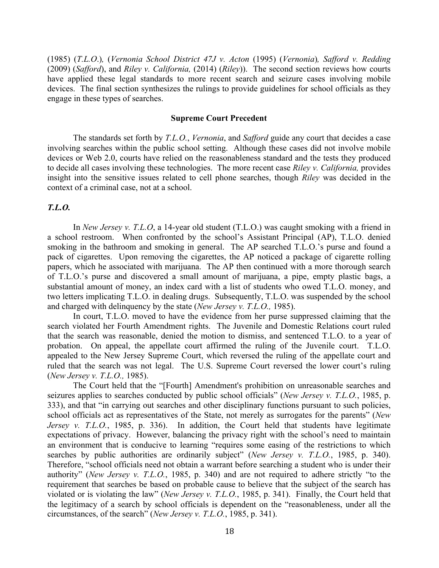(1985) (*T.L.O*.)*,* (*Vernonia School District 47J v. Acton* (1995) (*Vernonia*)*, Safford v. Redding*  (2009) (*Safford*), and *Riley v. California,* (2014) (*Riley*)). The second section reviews how courts have applied these legal standards to more recent search and seizure cases involving mobile devices. The final section synthesizes the rulings to provide guidelines for school officials as they engage in these types of searches.

## **Supreme Court Precedent**

The standards set forth by *T.L.O.*, *Vernonia*, and *Safford* guide any court that decides a case involving searches within the public school setting. Although these cases did not involve mobile devices or Web 2.0, courts have relied on the reasonableness standard and the tests they produced to decide all cases involving these technologies. The more recent case *Riley v. California,* provides insight into the sensitive issues related to cell phone searches, though *Riley* was decided in the context of a criminal case, not at a school.

## *T.L.O.*

In *New Jersey v. T.L.O*, a 14-year old student (T.L.O.) was caught smoking with a friend in a school restroom. When confronted by the school's Assistant Principal (AP), T.L.O. denied smoking in the bathroom and smoking in general. The AP searched T.L.O.'s purse and found a pack of cigarettes. Upon removing the cigarettes, the AP noticed a package of cigarette rolling papers, which he associated with marijuana. The AP then continued with a more thorough search of T.L.O.'s purse and discovered a small amount of marijuana, a pipe, empty plastic bags, a substantial amount of money, an index card with a list of students who owed T.L.O. money, and two letters implicating T.L.O. in dealing drugs. Subsequently, T.L.O. was suspended by the school and charged with delinquency by the state (*New Jersey v. T.L.O.,* 1985).

In court, T.L.O. moved to have the evidence from her purse suppressed claiming that the search violated her Fourth Amendment rights. The Juvenile and Domestic Relations court ruled that the search was reasonable, denied the motion to dismiss, and sentenced T.L.O. to a year of probation. On appeal, the appellate court affirmed the ruling of the Juvenile court. T.L.O. appealed to the New Jersey Supreme Court, which reversed the ruling of the appellate court and ruled that the search was not legal. The U.S. Supreme Court reversed the lower court's ruling (*New Jersey v. T.L.O.,* 1985).

The Court held that the "[Fourth] Amendment's prohibition on unreasonable searches and seizures applies to searches conducted by public school officials" (*New Jersey v. T.L.O.*, 1985, p. 333), and that "in carrying out searches and other disciplinary functions pursuant to such policies, school officials act as representatives of the State, not merely as surrogates for the parents" (*New Jersey v. T.L.O.*, 1985, p. 336). In addition, the Court held that students have legitimate expectations of privacy. However, balancing the privacy right with the school's need to maintain an environment that is conducive to learning "requires some easing of the restrictions to which searches by public authorities are ordinarily subject" (*New Jersey v. T.L.O.*, 1985, p. 340). Therefore, "school officials need not obtain a warrant before searching a student who is under their authority" (*New Jersey v. T.L.O.*, 1985, p. 340) and are not required to adhere strictly "to the requirement that searches be based on probable cause to believe that the subject of the search has violated or is violating the law" (*New Jersey v. T.L.O.*, 1985, p. 341). Finally, the Court held that the legitimacy of a search by school officials is dependent on the "reasonableness, under all the circumstances, of the search" (*New Jersey v. T.L.O.*, 1985, p. 341).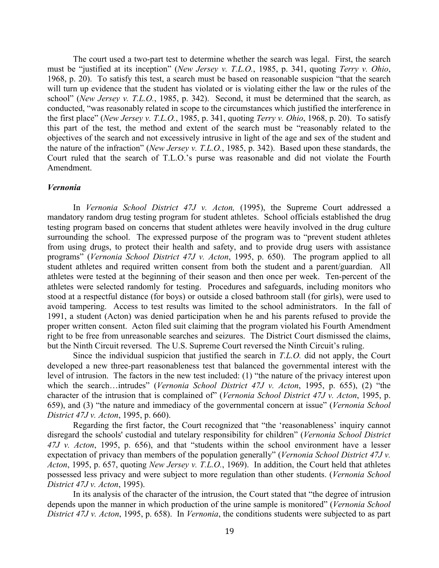The court used a two-part test to determine whether the search was legal. First, the search must be "justified at its inception" (*New Jersey v. T.L.O.*, 1985, p. 341, quoting *Terry v. Ohio*, 1968, p. 20). To satisfy this test, a search must be based on reasonable suspicion "that the search will turn up evidence that the student has violated or is violating either the law or the rules of the school" (*New Jersey v. T.L.O.*, 1985, p. 342). Second, it must be determined that the search, as conducted, "was reasonably related in scope to the circumstances which justified the interference in the first place" (*New Jersey v. T.L.O.*, 1985, p. 341, quoting *Terry v. Ohio*, 1968, p. 20). To satisfy this part of the test, the method and extent of the search must be "reasonably related to the objectives of the search and not excessively intrusive in light of the age and sex of the student and the nature of the infraction" (*New Jersey v. T.L.O.*, 1985, p. 342). Based upon these standards, the Court ruled that the search of T.L.O.'s purse was reasonable and did not violate the Fourth Amendment.

### *Vernonia*

In *Vernonia School District 47J v. Acton,* (1995), the Supreme Court addressed a mandatory random drug testing program for student athletes. School officials established the drug testing program based on concerns that student athletes were heavily involved in the drug culture surrounding the school. The expressed purpose of the program was to "prevent student athletes from using drugs, to protect their health and safety, and to provide drug users with assistance programs" (*Vernonia School District 47J v. Acton*, 1995, p. 650). The program applied to all student athletes and required written consent from both the student and a parent/guardian. All athletes were tested at the beginning of their season and then once per week. Ten-percent of the athletes were selected randomly for testing. Procedures and safeguards, including monitors who stood at a respectful distance (for boys) or outside a closed bathroom stall (for girls), were used to avoid tampering. Access to test results was limited to the school administrators. In the fall of 1991, a student (Acton) was denied participation when he and his parents refused to provide the proper written consent. Acton filed suit claiming that the program violated his Fourth Amendment right to be free from unreasonable searches and seizures. The District Court dismissed the claims, but the Ninth Circuit reversed. The U.S. Supreme Court reversed the Ninth Circuit's ruling.

Since the individual suspicion that justified the search in *T.L.O.* did not apply, the Court developed a new three-part reasonableness test that balanced the governmental interest with the level of intrusion. The factors in the new test included: (1) "the nature of the privacy interest upon which the search…intrudes" (*Vernonia School District 47J v. Acton*, 1995, p. 655), (2) "the character of the intrusion that is complained of" (*Vernonia School District 47J v. Acton*, 1995, p. 659), and (3) "the nature and immediacy of the governmental concern at issue" (*Vernonia School District 47J v. Acton*, 1995, p. 660).

Regarding the first factor, the Court recognized that "the 'reasonableness' inquiry cannot disregard the schools' custodial and tutelary responsibility for children" (*Vernonia School District 47J v. Acton*, 1995, p. 656), and that "students within the school environment have a lesser expectation of privacy than members of the population generally" (*Vernonia School District 47J v. Acton*, 1995, p. 657, quoting *New Jersey v. T.L.O.*, 1969). In addition, the Court held that athletes possessed less privacy and were subject to more regulation than other students. (*Vernonia School District 47J v. Acton*, 1995).

In its analysis of the character of the intrusion, the Court stated that "the degree of intrusion depends upon the manner in which production of the urine sample is monitored" (*Vernonia School District 47J v. Acton*, 1995, p. 658). In *Vernonia*, the conditions students were subjected to as part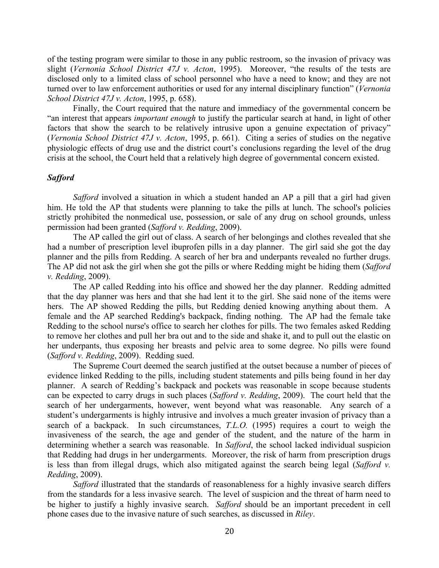of the testing program were similar to those in any public restroom, so the invasion of privacy was slight (*Vernonia School District 47J v. Acton*, 1995). Moreover, "the results of the tests are disclosed only to a limited class of school personnel who have a need to know; and they are not turned over to law enforcement authorities or used for any internal disciplinary function" (*Vernonia School District 47J v. Acton*, 1995, p. 658).

Finally, the Court required that the nature and immediacy of the governmental concern be "an interest that appears *important enough* to justify the particular search at hand, in light of other factors that show the search to be relatively intrusive upon a genuine expectation of privacy" (*Vernonia School District 47J v. Acton*, 1995, p. 661). Citing a series of studies on the negative physiologic effects of drug use and the district court's conclusions regarding the level of the drug crisis at the school, the Court held that a relatively high degree of governmental concern existed.

# *Safford*

*Safford* involved a situation in which a student handed an AP a pill that a girl had given him. He told the AP that students were planning to take the pills at lunch. The school's policies strictly prohibited the nonmedical use, possession, or sale of any drug on school grounds, unless permission had been granted (*Safford v. Redding*, 2009).

The AP called the girl out of class. A search of her belongings and clothes revealed that she had a number of prescription level ibuprofen pills in a day planner. The girl said she got the day planner and the pills from Redding. A search of her bra and underpants revealed no further drugs. The AP did not ask the girl when she got the pills or where Redding might be hiding them (*Safford v. Redding*, 2009).

The AP called Redding into his office and showed her the day planner. Redding admitted that the day planner was hers and that she had lent it to the girl. She said none of the items were hers. The AP showed Redding the pills, but Redding denied knowing anything about them. A female and the AP searched Redding's backpack, finding nothing. The AP had the female take Redding to the school nurse's office to search her clothes for pills. The two females asked Redding to remove her clothes and pull her bra out and to the side and shake it, and to pull out the elastic on her underpants, thus exposing her breasts and pelvic area to some degree. No pills were found (*Safford v. Redding*, 2009). Redding sued.

The Supreme Court deemed the search justified at the outset because a number of pieces of evidence linked Redding to the pills, including student statements and pills being found in her day planner. A search of Redding's backpack and pockets was reasonable in scope because students can be expected to carry drugs in such places (*Safford v. Redding*, 2009). The court held that the search of her undergarments, however, went beyond what was reasonable. Any search of a student's undergarments is highly intrusive and involves a much greater invasion of privacy than a search of a backpack. In such circumstances, *T.L.O.* (1995) requires a court to weigh the invasiveness of the search, the age and gender of the student, and the nature of the harm in determining whether a search was reasonable. In *Safford*, the school lacked individual suspicion that Redding had drugs in her undergarments. Moreover, the risk of harm from prescription drugs is less than from illegal drugs, which also mitigated against the search being legal (*Safford v. Redding*, 2009).

*Safford* illustrated that the standards of reasonableness for a highly invasive search differs from the standards for a less invasive search. The level of suspicion and the threat of harm need to be higher to justify a highly invasive search. *Safford* should be an important precedent in cell phone cases due to the invasive nature of such searches, as discussed in *Riley*.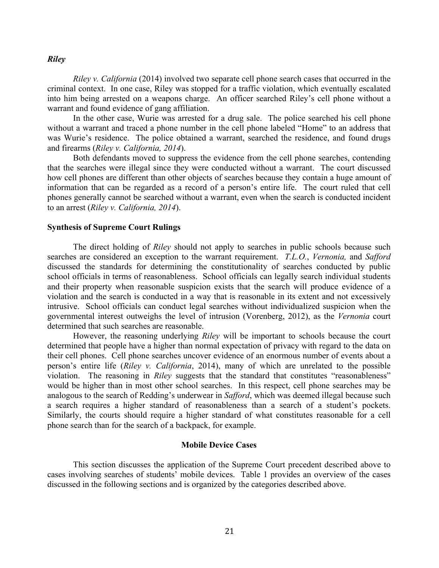## *Riley*

*Riley v. California* (2014) involved two separate cell phone search cases that occurred in the criminal context. In one case, Riley was stopped for a traffic violation, which eventually escalated into him being arrested on a weapons charge. An officer searched Riley's cell phone without a warrant and found evidence of gang affiliation.

In the other case, Wurie was arrested for a drug sale. The police searched his cell phone without a warrant and traced a phone number in the cell phone labeled "Home" to an address that was Wurie's residence. The police obtained a warrant, searched the residence, and found drugs and firearms (*Riley v. California, 2014*).

Both defendants moved to suppress the evidence from the cell phone searches, contending that the searches were illegal since they were conducted without a warrant. The court discussed how cell phones are different than other objects of searches because they contain a huge amount of information that can be regarded as a record of a person's entire life. The court ruled that cell phones generally cannot be searched without a warrant, even when the search is conducted incident to an arrest (*Riley v. California, 2014*).

## **Synthesis of Supreme Court Rulings**

The direct holding of *Riley* should not apply to searches in public schools because such searches are considered an exception to the warrant requirement. *T.L.O.*, *Vernonia,* and *Safford*  discussed the standards for determining the constitutionality of searches conducted by public school officials in terms of reasonableness. School officials can legally search individual students and their property when reasonable suspicion exists that the search will produce evidence of a violation and the search is conducted in a way that is reasonable in its extent and not excessively intrusive. School officials can conduct legal searches without individualized suspicion when the governmental interest outweighs the level of intrusion (Vorenberg, 2012), as the *Vernonia* court determined that such searches are reasonable.

However, the reasoning underlying *Riley* will be important to schools because the court determined that people have a higher than normal expectation of privacy with regard to the data on their cell phones. Cell phone searches uncover evidence of an enormous number of events about a person's entire life (*Riley v. California*, 2014), many of which are unrelated to the possible violation. The reasoning in *Riley* suggests that the standard that constitutes "reasonableness" would be higher than in most other school searches. In this respect, cell phone searches may be analogous to the search of Redding's underwear in *Safford*, which was deemed illegal because such a search requires a higher standard of reasonableness than a search of a student's pockets. Similarly, the courts should require a higher standard of what constitutes reasonable for a cell phone search than for the search of a backpack, for example.

#### **Mobile Device Cases**

This section discusses the application of the Supreme Court precedent described above to cases involving searches of students' mobile devices. Table 1 provides an overview of the cases discussed in the following sections and is organized by the categories described above.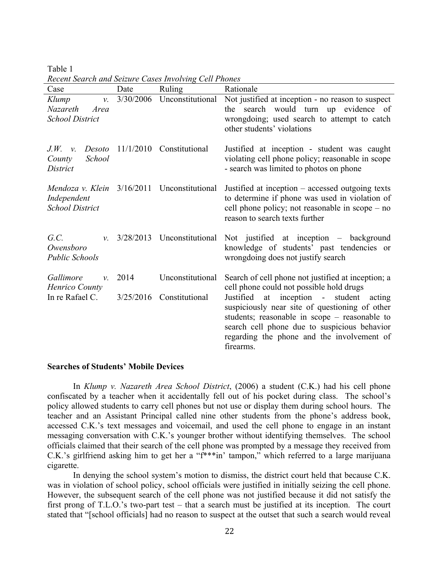Table 1 *Recent Search and Seizure Cases Involving Cell Phones*

| Case                                                                  | Date      | <b>Ruling</b>    | Rationale                                                                                                                                                                                                                                                   |
|-----------------------------------------------------------------------|-----------|------------------|-------------------------------------------------------------------------------------------------------------------------------------------------------------------------------------------------------------------------------------------------------------|
| Klump<br>$\nu$ .<br>Nazareth<br>Area<br><b>School District</b>        | 3/30/2006 | Unconstitutional | Not justified at inception - no reason to suspect<br>the search would turn up evidence of<br>wrongdoing; used search to attempt to catch<br>other students' violations                                                                                      |
| J.W.<br>Desoto<br>$\mathcal{V}$ .<br>School<br>County<br>District     | 11/1/2010 | Constitutional   | Justified at inception - student was caught<br>violating cell phone policy; reasonable in scope<br>- search was limited to photos on phone                                                                                                                  |
| Mendoza v. Klein $3/16/2011$<br>Independent<br><b>School District</b> |           | Unconstitutional | Justified at inception – accessed outgoing texts<br>to determine if phone was used in violation of<br>cell phone policy; not reasonable in $scope - no$<br>reason to search texts further                                                                   |
| G.C.<br>$\mathcal{V}$ .<br>Owensboro<br><b>Public Schools</b>         | 3/28/2013 | Unconstitutional | Not justified at inception - background<br>knowledge of students' past tendencies or<br>wrongdoing does not justify search                                                                                                                                  |
| Gallimore<br>$\mathcal{V}$ .<br>Henrico County                        | 2014      | Unconstitutional | Search of cell phone not justified at inception; a<br>cell phone could not possible hold drugs                                                                                                                                                              |
| In re Rafael C.                                                       | 3/25/2016 | Constitutional   | Justified at inception -<br>student<br>acting<br>suspiciously near site of questioning of other<br>students; reasonable in scope - reasonable to<br>search cell phone due to suspicious behavior<br>regarding the phone and the involvement of<br>firearms. |

## **Searches of Students' Mobile Devices**

In *Klump v. Nazareth Area School District*, (2006) a student (C.K.) had his cell phone confiscated by a teacher when it accidentally fell out of his pocket during class. The school's policy allowed students to carry cell phones but not use or display them during school hours. The teacher and an Assistant Principal called nine other students from the phone's address book, accessed C.K.'s text messages and voicemail, and used the cell phone to engage in an instant messaging conversation with C.K.'s younger brother without identifying themselves. The school officials claimed that their search of the cell phone was prompted by a message they received from C.K.'s girlfriend asking him to get her a "f\*\*\*in' tampon," which referred to a large marijuana cigarette.

In denying the school system's motion to dismiss, the district court held that because C.K. was in violation of school policy, school officials were justified in initially seizing the cell phone. However, the subsequent search of the cell phone was not justified because it did not satisfy the first prong of T.L.O.'s two-part test – that a search must be justified at its inception. The court stated that "[school officials] had no reason to suspect at the outset that such a search would reveal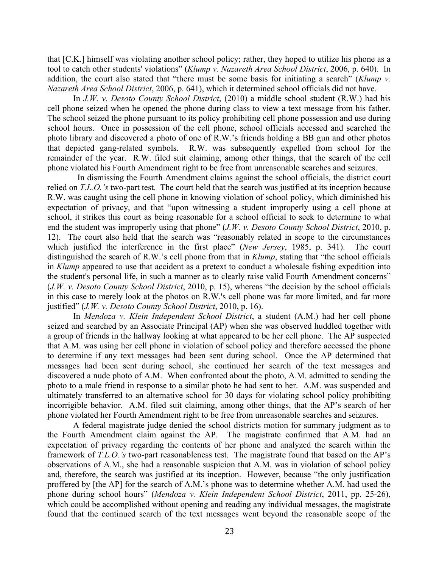that [C.K.] himself was violating another school policy; rather, they hoped to utilize his phone as a tool to catch other students' violations" (*Klump v. Nazareth Area School District*, 2006, p. 640). In addition, the court also stated that "there must be some basis for initiating a search" (*Klump v. Nazareth Area School District*, 2006, p. 641), which it determined school officials did not have.

In *J.W. v. Desoto County School District*, (2010) a middle school student (R.W.) had his cell phone seized when he opened the phone during class to view a text message from his father. The school seized the phone pursuant to its policy prohibiting cell phone possession and use during school hours. Once in possession of the cell phone, school officials accessed and searched the photo library and discovered a photo of one of R.W.'s friends holding a BB gun and other photos that depicted gang-related symbols. R.W. was subsequently expelled from school for the remainder of the year. R.W. filed suit claiming, among other things, that the search of the cell phone violated his Fourth Amendment right to be free from unreasonable searches and seizures.

 In dismissing the Fourth Amendment claims against the school officials, the district court relied on *T.L.O.'s* two-part test. The court held that the search was justified at its inception because R.W. was caught using the cell phone in knowing violation of school policy, which diminished his expectation of privacy, and that "upon witnessing a student improperly using a cell phone at school, it strikes this court as being reasonable for a school official to seek to determine to what end the student was improperly using that phone" (*J.W. v. Desoto County School District*, 2010, p. 12). The court also held that the search was "reasonably related in scope to the circumstances which justified the interference in the first place" (*New Jersey*, 1985, p. 341). The court distinguished the search of R.W.'s cell phone from that in *Klump*, stating that "the school officials in *Klump* appeared to use that accident as a pretext to conduct a wholesale fishing expedition into the student's personal life, in such a manner as to clearly raise valid Fourth Amendment concerns" (*J.W. v. Desoto County School District*, 2010, p. 15), whereas "the decision by the school officials in this case to merely look at the photos on R.W.'s cell phone was far more limited, and far more justified" (*J.W. v. Desoto County School District*, 2010, p. 16).

In *Mendoza v. Klein Independent School District*, a student (A.M.) had her cell phone seized and searched by an Associate Principal (AP) when she was observed huddled together with a group of friends in the hallway looking at what appeared to be her cell phone. The AP suspected that A.M. was using her cell phone in violation of school policy and therefore accessed the phone to determine if any text messages had been sent during school. Once the AP determined that messages had been sent during school, she continued her search of the text messages and discovered a nude photo of A.M. When confronted about the photo, A.M. admitted to sending the photo to a male friend in response to a similar photo he had sent to her. A.M. was suspended and ultimately transferred to an alternative school for 30 days for violating school policy prohibiting incorrigible behavior. A.M. filed suit claiming, among other things, that the AP's search of her phone violated her Fourth Amendment right to be free from unreasonable searches and seizures.

A federal magistrate judge denied the school districts motion for summary judgment as to the Fourth Amendment claim against the AP. The magistrate confirmed that A.M. had an expectation of privacy regarding the contents of her phone and analyzed the search within the framework of *T.L.O.'s* two-part reasonableness test. The magistrate found that based on the AP's observations of A.M., she had a reasonable suspicion that A.M. was in violation of school policy and, therefore, the search was justified at its inception. However, because "the only justification proffered by [the AP] for the search of A.M.'s phone was to determine whether A.M. had used the phone during school hours" (*Mendoza v. Klein Independent School District*, 2011, pp. 25-26), which could be accomplished without opening and reading any individual messages, the magistrate found that the continued search of the text messages went beyond the reasonable scope of the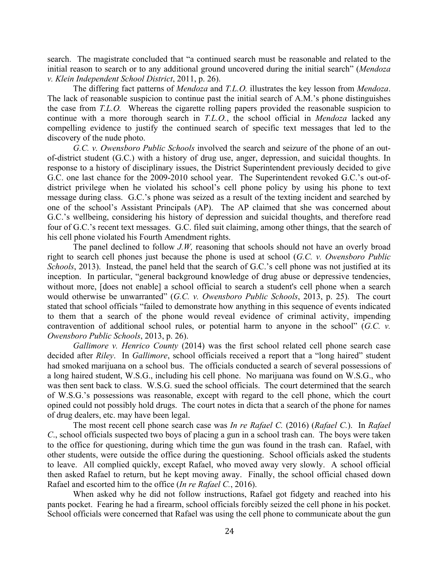search. The magistrate concluded that "a continued search must be reasonable and related to the initial reason to search or to any additional ground uncovered during the initial search" (*Mendoza v. Klein Independent School District*, 2011, p. 26).

The differing fact patterns of *Mendoza* and *T.L.O.* illustrates the key lesson from *Mendoza*. The lack of reasonable suspicion to continue past the initial search of A.M.'s phone distinguishes the case from *T.L.O.* Whereas the cigarette rolling papers provided the reasonable suspicion to continue with a more thorough search in *T.L.O.*, the school official in *Mendoza* lacked any compelling evidence to justify the continued search of specific text messages that led to the discovery of the nude photo.

*G.C. v. Owensboro Public Schools* involved the search and seizure of the phone of an outof-district student (G.C.) with a history of drug use, anger, depression, and suicidal thoughts. In response to a history of disciplinary issues, the District Superintendent previously decided to give G.C. one last chance for the 2009-2010 school year. The Superintendent revoked G.C.'s out-ofdistrict privilege when he violated his school's cell phone policy by using his phone to text message during class. G.C.'s phone was seized as a result of the texting incident and searched by one of the school's Assistant Principals (AP). The AP claimed that she was concerned about G.C.'s wellbeing, considering his history of depression and suicidal thoughts, and therefore read four of G.C.'s recent text messages. G.C. filed suit claiming, among other things, that the search of his cell phone violated his Fourth Amendment rights.

The panel declined to follow *J.W,* reasoning that schools should not have an overly broad right to search cell phones just because the phone is used at school (*G.C. v. Owensboro Public Schools*, 2013). Instead, the panel held that the search of G.C.'s cell phone was not justified at its inception. In particular, "general background knowledge of drug abuse or depressive tendencies, without more, [does not enable] a school official to search a student's cell phone when a search would otherwise be unwarranted" (*G.C. v. Owensboro Public Schools*, 2013, p. 25). The court stated that school officials "failed to demonstrate how anything in this sequence of events indicated to them that a search of the phone would reveal evidence of criminal activity, impending contravention of additional school rules, or potential harm to anyone in the school" (*G.C. v. Owensboro Public Schools*, 2013, p. 26).

*Gallimore v. Henrico County* (2014) was the first school related cell phone search case decided after *Riley*. In *Gallimore*, school officials received a report that a "long haired" student had smoked marijuana on a school bus. The officials conducted a search of several possessions of a long haired student, W.S.G., including his cell phone. No marijuana was found on W.S.G., who was then sent back to class. W.S.G. sued the school officials. The court determined that the search of W.S.G.'s possessions was reasonable, except with regard to the cell phone, which the court opined could not possibly hold drugs. The court notes in dicta that a search of the phone for names of drug dealers, etc. may have been legal.

The most recent cell phone search case was *In re Rafael C.* (2016) (*Rafael C.*). In *Rafael C*., school officials suspected two boys of placing a gun in a school trash can. The boys were taken to the office for questioning, during which time the gun was found in the trash can. Rafael, with other students, were outside the office during the questioning. School officials asked the students to leave. All complied quickly, except Rafael, who moved away very slowly. A school official then asked Rafael to return, but he kept moving away. Finally, the school official chased down Rafael and escorted him to the office (*In re Rafael C.*, 2016).

When asked why he did not follow instructions, Rafael got fidgety and reached into his pants pocket. Fearing he had a firearm, school officials forcibly seized the cell phone in his pocket. School officials were concerned that Rafael was using the cell phone to communicate about the gun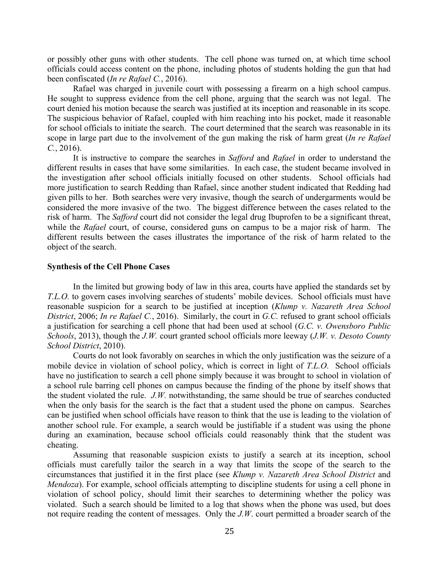or possibly other guns with other students. The cell phone was turned on, at which time school officials could access content on the phone, including photos of students holding the gun that had been confiscated (*In re Rafael C.*, 2016).

Rafael was charged in juvenile court with possessing a firearm on a high school campus. He sought to suppress evidence from the cell phone, arguing that the search was not legal. The court denied his motion because the search was justified at its inception and reasonable in its scope. The suspicious behavior of Rafael, coupled with him reaching into his pocket, made it reasonable for school officials to initiate the search. The court determined that the search was reasonable in its scope in large part due to the involvement of the gun making the risk of harm great (*In re Rafael C.*, 2016).

It is instructive to compare the searches in *Safford* and *Rafael* in order to understand the different results in cases that have some similarities. In each case, the student became involved in the investigation after school officials initially focused on other students. School officials had more justification to search Redding than Rafael, since another student indicated that Redding had given pills to her. Both searches were very invasive, though the search of undergarments would be considered the more invasive of the two. The biggest difference between the cases related to the risk of harm. The *Safford* court did not consider the legal drug Ibuprofen to be a significant threat, while the *Rafael* court, of course, considered guns on campus to be a major risk of harm. The different results between the cases illustrates the importance of the risk of harm related to the object of the search.

## **Synthesis of the Cell Phone Cases**

In the limited but growing body of law in this area, courts have applied the standards set by *T.L.O.* to govern cases involving searches of students' mobile devices. School officials must have reasonable suspicion for a search to be justified at inception (*Klump v. Nazareth Area School District*, 2006; *In re Rafael C.*, 2016). Similarly, the court in *G.C.* refused to grant school officials a justification for searching a cell phone that had been used at school (*G.C. v. Owensboro Public Schools*, 2013), though the *J.W.* court granted school officials more leeway (*J.W. v. Desoto County School District*, 2010).

Courts do not look favorably on searches in which the only justification was the seizure of a mobile device in violation of school policy, which is correct in light of *T.L.O*. School officials have no justification to search a cell phone simply because it was brought to school in violation of a school rule barring cell phones on campus because the finding of the phone by itself shows that the student violated the rule. *J.W.* notwithstanding, the same should be true of searches conducted when the only basis for the search is the fact that a student used the phone on campus. Searches can be justified when school officials have reason to think that the use is leading to the violation of another school rule. For example, a search would be justifiable if a student was using the phone during an examination, because school officials could reasonably think that the student was cheating.

Assuming that reasonable suspicion exists to justify a search at its inception, school officials must carefully tailor the search in a way that limits the scope of the search to the circumstances that justified it in the first place (see *Klump v. Nazareth Area School District* and *Mendoza*). For example, school officials attempting to discipline students for using a cell phone in violation of school policy, should limit their searches to determining whether the policy was violated. Such a search should be limited to a log that shows when the phone was used, but does not require reading the content of messages. Only the *J.W*. court permitted a broader search of the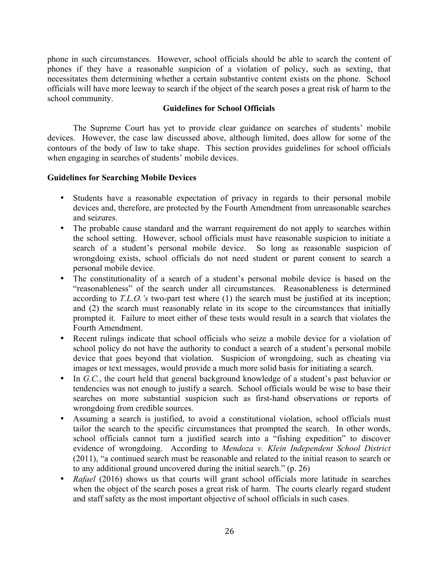phone in such circumstances. However, school officials should be able to search the content of phones if they have a reasonable suspicion of a violation of policy, such as sexting, that necessitates them determining whether a certain substantive content exists on the phone. School officials will have more leeway to search if the object of the search poses a great risk of harm to the school community.

# **Guidelines for School Officials**

The Supreme Court has yet to provide clear guidance on searches of students' mobile devices. However, the case law discussed above, although limited, does allow for some of the contours of the body of law to take shape. This section provides guidelines for school officials when engaging in searches of students' mobile devices.

# **Guidelines for Searching Mobile Devices**

- Students have a reasonable expectation of privacy in regards to their personal mobile devices and, therefore, are protected by the Fourth Amendment from unreasonable searches and seizures.
- The probable cause standard and the warrant requirement do not apply to searches within the school setting. However, school officials must have reasonable suspicion to initiate a search of a student's personal mobile device. So long as reasonable suspicion of wrongdoing exists, school officials do not need student or parent consent to search a personal mobile device.
- The constitutionality of a search of a student's personal mobile device is based on the "reasonableness" of the search under all circumstances. Reasonableness is determined according to *T.L.O.'s* two-part test where (1) the search must be justified at its inception; and (2) the search must reasonably relate in its scope to the circumstances that initially prompted it. Failure to meet either of these tests would result in a search that violates the Fourth Amendment.
- Recent rulings indicate that school officials who seize a mobile device for a violation of school policy do not have the authority to conduct a search of a student's personal mobile device that goes beyond that violation. Suspicion of wrongdoing, such as cheating via images or text messages, would provide a much more solid basis for initiating a search.
- In *G.C.*, the court held that general background knowledge of a student's past behavior or tendencies was not enough to justify a search. School officials would be wise to base their searches on more substantial suspicion such as first-hand observations or reports of wrongdoing from credible sources.
- Assuming a search is justified, to avoid a constitutional violation, school officials must tailor the search to the specific circumstances that prompted the search. In other words, school officials cannot turn a justified search into a "fishing expedition" to discover evidence of wrongdoing. According to *Mendoza v. Klein Independent School District* (2011), "a continued search must be reasonable and related to the initial reason to search or to any additional ground uncovered during the initial search." (p. 26)
- *Rafael* (2016) shows us that courts will grant school officials more latitude in searches when the object of the search poses a great risk of harm. The courts clearly regard student and staff safety as the most important objective of school officials in such cases.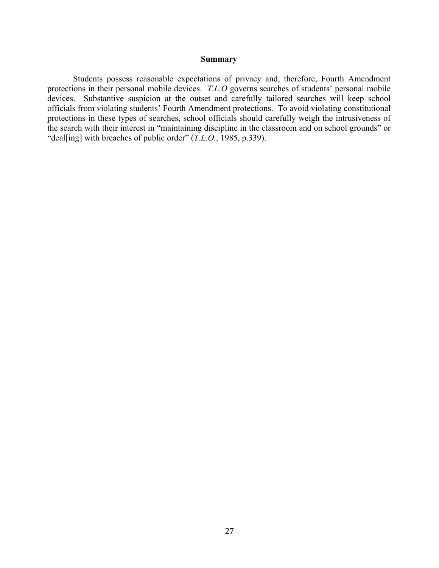## **Summary**

Students possess reasonable expectations of privacy and, therefore, Fourth Amendment protections in their personal mobile devices. *T.L.O* governs searches of students' personal mobile devices. Substantive suspicion at the outset and carefully tailored searches will keep school officials from violating students' Fourth Amendment protections. To avoid violating constitutional protections in these types of searches, school officials should carefully weigh the intrusiveness of the search with their interest in "maintaining discipline in the classroom and on school grounds" or "deal[ing] with breaches of public order" (*T.L.O.*, 1985, p.339).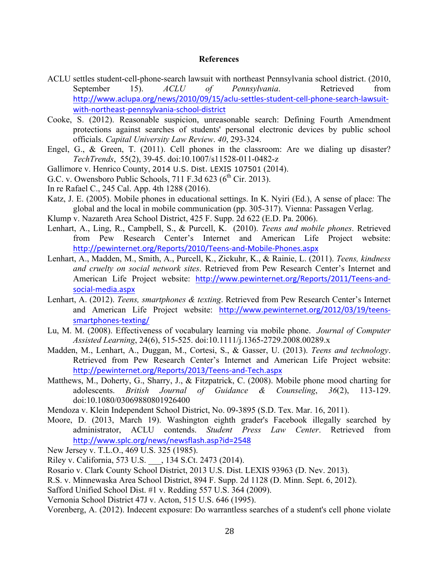## **References**

- ACLU settles student-cell-phone-search lawsuit with northeast Pennsylvania school district. (2010, September 15). *ACLU of Pennsylvania*. Retrieved from http://www.aclupa.org/news/2010/09/15/aclu-settles-student-cell-phone-search-lawsuitwith-northeast-pennsylvania-school-district
- Cooke, S. (2012). Reasonable suspicion, unreasonable search: Defining Fourth Amendment protections against searches of students' personal electronic devices by public school officials. *Capital University Law Review*. *40*, 293-324.
- Engel, G., & Green, T. (2011). Cell phones in the classroom: Are we dialing up disaster? *TechTrends*, 55(2), 39-45. doi:10.1007/s11528-011-0482-z
- Gallimore v. Henrico County, 2014 U.S. Dist. LEXIS 107501 (2014).
- G.C. v. Owensboro Public Schools,  $711$  F.3d 623 ( $6<sup>th</sup>$  Cir. 2013).
- In re Rafael C., 245 Cal. App. 4th 1288 (2016).
- Katz, J. E. (2005). Mobile phones in educational settings. In K. Nyiri (Ed.), A sense of place: The global and the local in mobile communication (pp. 305-317). Vienna: Passagen Verlag.
- Klump v. Nazareth Area School District, 425 F. Supp. 2d 622 (E.D. Pa. 2006).
- Lenhart, A., Ling, R., Campbell, S., & Purcell, K. (2010). *Teens and mobile phones*. Retrieved from Pew Research Center's Internet and American Life Project website: http://pewinternet.org/Reports/2010/Teens-and-Mobile-Phones.aspx
- Lenhart, A., Madden, M., Smith, A., Purcell, K., Zickuhr, K., & Rainie, L. (2011). *Teens, kindness and cruelty on social network sites*. Retrieved from Pew Research Center's Internet and American Life Project website: http://www.pewinternet.org/Reports/2011/Teens-andsocial-media.aspx
- Lenhart, A. (2012). *Teens, smartphones & texting*. Retrieved from Pew Research Center's Internet and American Life Project website: http://www.pewinternet.org/2012/03/19/teenssmartphones-texting/
- Lu, M. M. (2008). Effectiveness of vocabulary learning via mobile phone. *Journal of Computer Assisted Learning*, 24(6), 515-525. doi:10.1111/j.1365-2729.2008.00289.x
- Madden, M., Lenhart, A., Duggan, M., Cortesi, S., & Gasser, U. (2013). *Teens and technology*. Retrieved from Pew Research Center's Internet and American Life Project website: http://pewinternet.org/Reports/2013/Teens-and-Tech.aspx
- Matthews, M., Doherty, G., Sharry, J., & Fitzpatrick, C. (2008). Mobile phone mood charting for adolescents. *British Journal of Guidance & Counseling*, *36*(2), 113-129. doi:10.1080/03069880801926400
- Mendoza v. Klein Independent School District, No. 09-3895 (S.D. Tex. Mar. 16, 2011).
- Moore, D. (2013, March 19). Washington eighth grader's Facebook illegally searched by administrator, ACLU contends. *Student Press Law Center*. Retrieved from http://www.splc.org/news/newsflash.asp?id=2548

New Jersey v. T.L.O., 469 U.S. 325 (1985).

- Riley v. California, 573 U.S. \_\_\_, 134 S.Ct. 2473 (2014).
- Rosario v. Clark County School District, 2013 U.S. Dist. LEXIS 93963 (D. Nev. 2013).
- R.S. v. Minnewaska Area School District, 894 F. Supp. 2d 1128 (D. Minn. Sept. 6, 2012).
- Safford Unified School Dist. #1 v. Redding 557 U.S. 364 (2009).
- Vernonia School District 47J v. Acton, 515 U.S. 646 (1995).
- Vorenberg, A. (2012). Indecent exposure: Do warrantless searches of a student's cell phone violate